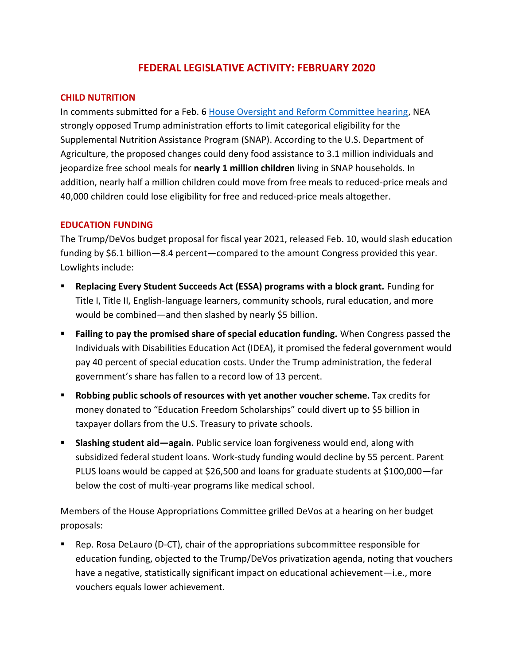# **FEDERAL LEGISLATIVE ACTIVITY: FEBRUARY 2020**

#### **CHILD NUTRITION**

In comments submitted for a Feb. 6 [House Oversight and Reform Committee hearing,](https://educationvotes.nea.org/wp-content/uploads/2020/02/Comm-on-Reform-Oversight-Hrg-on-SNAP-Cat-El020219.pdf) NEA strongly opposed Trump administration efforts to limit categorical eligibility for the Supplemental Nutrition Assistance Program (SNAP). According to the U.S. Department of Agriculture, the proposed changes could deny food assistance to 3.1 million individuals and jeopardize free school meals for **nearly 1 million children** living in SNAP households. In addition, nearly half a million children could move from free meals to reduced-price meals and 40,000 children could lose eligibility for free and reduced-price meals altogether.

#### **EDUCATION FUNDING**

The Trump/DeVos budget proposal for fiscal year 2021, released Feb. 10, would slash education funding by \$6.1 billion—8.4 percent—compared to the amount Congress provided this year. Lowlights include:

- **Replacing Every Student Succeeds Act (ESSA) programs with a block grant.** Funding for Title I, Title II, English-language learners, community schools, rural education, and more would be combined—and then slashed by nearly \$5 billion.
- **Failing to pay the promised share of special education funding.** When Congress passed the Individuals with Disabilities Education Act (IDEA), it promised the federal government would pay 40 percent of special education costs. Under the Trump administration, the federal government's share has fallen to a record low of 13 percent.
- **Robbing public schools of resources with yet another voucher scheme.** Tax credits for money donated to "Education Freedom Scholarships" could divert up to \$5 billion in taxpayer dollars from the U.S. Treasury to private schools.
- **Slashing student aid—again.** Public service loan forgiveness would end, along with subsidized federal student loans. Work-study funding would decline by 55 percent. Parent PLUS loans would be capped at \$26,500 and loans for graduate students at \$100,000—far below the cost of multi-year programs like medical school.

Members of the House Appropriations Committee grilled DeVos at a hearing on her budget proposals:

Rep. Rosa DeLauro (D-CT), chair of the appropriations subcommittee responsible for education funding, objected to the Trump/DeVos privatization agenda, noting that vouchers have a negative, statistically significant impact on educational achievement—i.e., more vouchers equals lower achievement.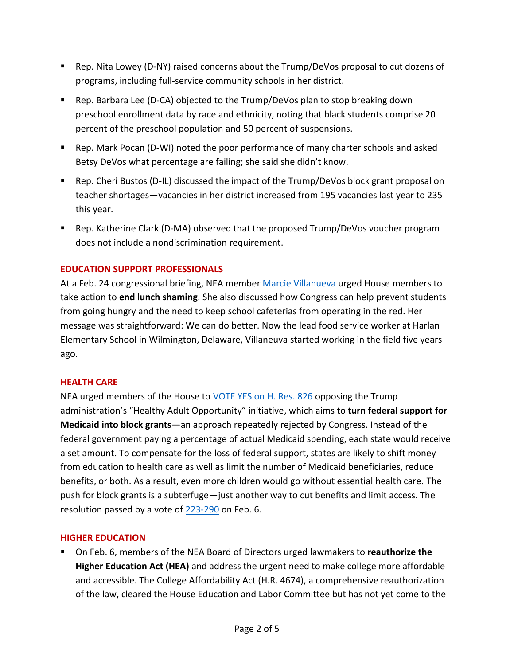- Rep. Nita Lowey (D-NY) raised concerns about the Trump/DeVos proposal to cut dozens of programs, including full-service community schools in her district.
- Rep. Barbara Lee (D-CA) objected to the Trump/DeVos plan to stop breaking down preschool enrollment data by race and ethnicity, noting that black students comprise 20 percent of the preschool population and 50 percent of suspensions.
- Rep. Mark Pocan (D-WI) noted the poor performance of many charter schools and asked Betsy DeVos what percentage are failing; she said she didn't know.
- Rep. Cheri Bustos (D-IL) discussed the impact of the Trump/DeVos block grant proposal on teacher shortages—vacancies in her district increased from 195 vacancies last year to 235 this year.
- Rep. Katherine Clark (D-MA) observed that the proposed Trump/DeVos voucher program does not include a nondiscrimination requirement.

# **EDUCATION SUPPORT PROFESSIONALS**

At a Feb. 24 congressional briefing, NEA member [Marcie Villanueva](https://educationvotes.nea.org/2020/02/25/we-can-end-cafeteria-shaming-says-delaware-educator-to-d-c-lawmakers/) urged House members to take action to **end lunch shaming**. She also discussed how Congress can help prevent students from going hungry and the need to keep school cafeterias from operating in the red. Her message was straightforward: We can do better. Now the lead food service worker at Harlan Elementary School in Wilmington, Delaware, Villaneuva started working in the field five years ago.

# **HEALTH CARE**

NEA urged members of the House to [VOTE YES on H. Res. 826](https://educationvotes.nea.org/wp-content/uploads/2020/02/Medicaid-guidance020420.pdf) opposing the Trump administration's "Healthy Adult Opportunity" initiative, which aims to **turn federal support for Medicaid into block grants**—an approach repeatedly rejected by Congress. Instead of the federal government paying a percentage of actual Medicaid spending, each state would receive a set amount. To compensate for the loss of federal support, states are likely to shift money from education to health care as well as limit the number of Medicaid beneficiaries, reduce benefits, or both. As a result, even more children would go without essential health care. The push for block grants is a subterfuge—just another way to cut benefits and limit access. The resolution passed by a vote of [223-290](http://clerk.house.gov/evs/2020/roll051.xml) on Feb. 6.

# **HIGHER EDUCATION**

■ On Feb. 6, members of the NEA Board of Directors urged lawmakers to **reauthorize the Higher Education Act (HEA)** and address the urgent need to make college more affordable and accessible. The College Affordability Act (H.R. 4674), a comprehensive reauthorization of the law, cleared the House Education and Labor Committee but has not yet come to the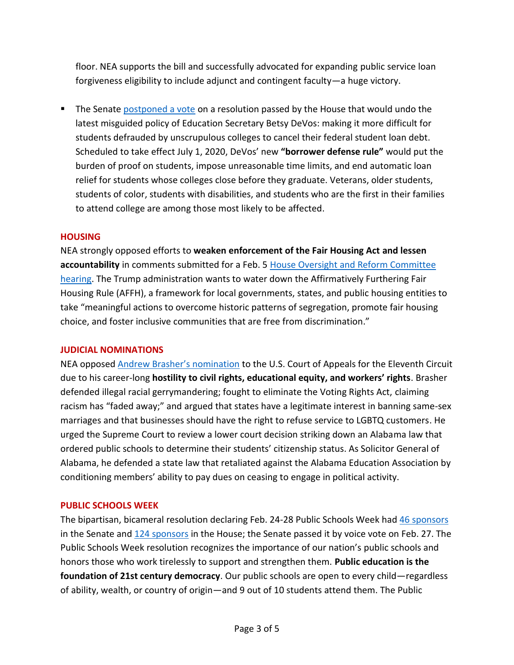floor. NEA supports the bill and successfully advocated for expanding public service loan forgiveness eligibility to include adjunct and contingent faculty—a huge victory.

**The Senate [postponed a vote](https://educationvotes.nea.org/wp-content/uploads/2020/02/SRes56-Borrower-Def-to-Repayment.pdf) on a resolution passed by the House that would undo the** latest misguided policy of Education Secretary Betsy DeVos: making it more difficult for students defrauded by unscrupulous colleges to cancel their federal student loan debt. Scheduled to take effect July 1, 2020, DeVos' new **"borrower defense rule"** would put the burden of proof on students, impose unreasonable time limits, and end automatic loan relief for students whose colleges close before they graduate. Veterans, older students, students of color, students with disabilities, and students who are the first in their families to attend college are among those most likely to be affected.

### **HOUSING**

NEA strongly opposed efforts to **weaken enforcement of the Fair Housing Act and lessen accountability** in comments submitted for a Feb. 5 [House Oversight and Reform Committee](https://educationvotes.nea.org/wp-content/uploads/2020/02/Comm-on-Reform-Oversight-Hrg-on-Fair-Housing-020419.pdf)  [hearing.](https://educationvotes.nea.org/wp-content/uploads/2020/02/Comm-on-Reform-Oversight-Hrg-on-Fair-Housing-020419.pdf) The Trump administration wants to water down the Affirmatively Furthering Fair Housing Rule (AFFH), a framework for local governments, states, and public housing entities to take "meaningful actions to overcome historic patterns of segregation, promote fair housing choice, and foster inclusive communities that are free from discrimination."

#### **JUDICIAL NOMINATIONS**

NEA opposed [Andrew Brasher's nomination](https://educationvotes.nea.org/wp-content/uploads/2020/02/Judicial-nominee-Brasher-020420.pdf) to the U.S. Court of Appeals for the Eleventh Circuit due to his career-long **hostility to civil rights, educational equity, and workers' rights**. Brasher defended illegal racial gerrymandering; fought to eliminate the Voting Rights Act, claiming racism has "faded away;" and argued that states have a legitimate interest in banning same-sex marriages and that businesses should have the right to refuse service to LGBTQ customers. He urged the Supreme Court to review a lower court decision striking down an Alabama law that ordered public schools to determine their students' citizenship status. As Solicitor General of Alabama, he defended a state law that retaliated against the Alabama Education Association by conditioning members' ability to pay dues on ceasing to engage in political activity.

# **PUBLIC SCHOOLS WEEK**

The bipartisan, bicameral resolution declaring Feb. 24-28 Public Schools Week had [46 sponsors](https://www.congress.gov/bill/116th-congress/senate-resolution/521/actions?q=%7b%22search%22:%5b%22Public+Schools+Week+resolution%22%5d%7d&r=2&s=4&KWICView=false) in the Senate and [124 sponsors](https://www.congress.gov/bill/116th-congress/house-resolution/862?q=%7B%22search%22%3A%5B%22Public+Schools+Week+resolution%22%5D%7D&s=7&r=5) in the House; the Senate passed it by voice vote on Feb. 27. The Public Schools Week resolution recognizes the importance of our nation's public schools and honors those who work tirelessly to support and strengthen them. **Public education is the foundation of 21st century democracy**. Our public schools are open to every child—regardless of ability, wealth, or country of origin—and 9 out of 10 students attend them. The Public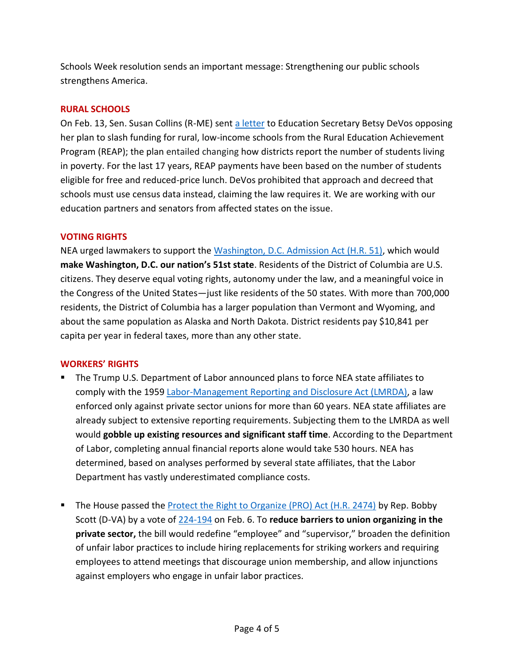Schools Week resolution sends an important message: Strengthening our public schools strengthens America.

#### **RURAL SCHOOLS**

On Feb. 13, Sen. Susan Collins (R-ME) sent [a letter](https://www.collins.senate.gov/sites/default/files/Letter%20to%20DeVos%20RLIS%20funding.pdf) to Education Secretary Betsy DeVos opposing her plan to slash funding for rural, low-income schools from the Rural Education Achievement Program (REAP); the plan entailed changing how districts report the number of students living in poverty. For the last 17 years, REAP payments have been based on the number of students eligible for free and reduced-price lunch. DeVos prohibited that approach and decreed that schools must use census data instead, claiming the law requires it. We are working with our education partners and senators from affected states on the issue.

#### **VOTING RIGHTS**

NEA urged lawmakers to support the [Washington, D.C. Admission Act \(H.R. 51\),](https://educationvotes.nea.org/wp-content/uploads/2020/02/HR-51-DC-Statehood-Markup-Oversight-Comm-21020.pdf) which would **make Washington, D.C. our nation's 51st state**. Residents of the District of Columbia are U.S. citizens. They deserve equal voting rights, autonomy under the law, and a meaningful voice in the Congress of the United States—just like residents of the 50 states. With more than 700,000 residents, the District of Columbia has a larger population than Vermont and Wyoming, and about the same population as Alaska and North Dakota. District residents pay \$10,841 per capita per year in federal taxes, more than any other state.

#### **WORKERS' RIGHTS**

- The Trump U.S. Department of Labor announced plans to force NEA state affiliates to comply with the 1959 [Labor-Management Reporting and Disclosure Act \(LMRDA\),](https://educationvotes.nea.org/2020/02/06/alice-obrien-trump-administration-targets-state-education-associations/) a law enforced only against private sector unions for more than 60 years. NEA state affiliates are already subject to extensive reporting requirements. Subjecting them to the LMRDA as well would **gobble up existing resources and significant staff time**. According to the Department of Labor, completing annual financial reports alone would take 530 hours. NEA has determined, based on analyses performed by several state affiliates, that the Labor Department has vastly underestimated compliance costs.
- The House passed the [Protect the Right to Organize \(PRO\) Act \(H.R. 2474\)](https://educationvotes.nea.org/wp-content/uploads/2020/02/HR-2474-PRO-Act020619.pdf) by Rep. Bobby Scott (D-VA) by a vote of [224-194](http://clerk.house.gov/evs/2020/roll050.xml) on Feb. 6. To **reduce barriers to union organizing in the private sector,** the bill would redefine "employee" and "supervisor," broaden the definition of unfair labor practices to include hiring replacements for striking workers and requiring employees to attend meetings that discourage union membership, and allow injunctions against employers who engage in unfair labor practices.